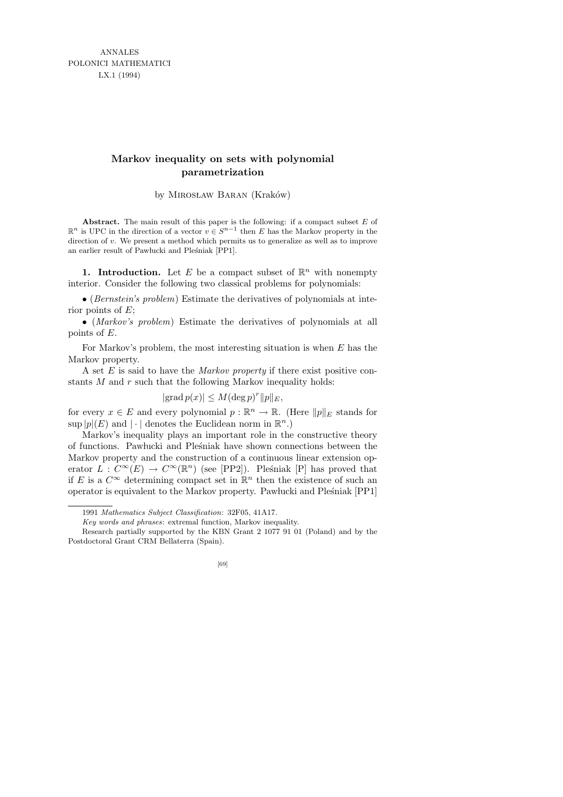ANNALES POLONICI MATHEMATICI LX.1 (1994)

## **Markov inequality on sets with polynomial parametrization**

by MIROSŁAW BARAN (Kraków)

**Abstract.** The main result of this paper is the following: if a compact subset *E* of  $\mathbb{R}^n$  is UPC in the direction of a vector *v* ∈  $S^{n-1}$  then *E* has the Markov property in the direction of *v*. We present a method which permits us to generalize as well as to improve an earlier result of Pawlucki and Pleśniak [PP1].

**1. Introduction.** Let E be a compact subset of  $\mathbb{R}^n$  with nonempty interior. Consider the following two classical problems for polynomials:

• (Bernstein's problem) Estimate the derivatives of polynomials at interior points of  $E$ ;

• (Markov's problem) Estimate the derivatives of polynomials at all points of E.

For Markov's problem, the most interesting situation is when  $E$  has the Markov property.

A set  $E$  is said to have the *Markov property* if there exist positive constants M and r such that the following Markov inequality holds:

$$
|\text{grad } p(x)| \le M(\text{deg } p)^r ||p||_E,
$$

for every  $x \in E$  and every polynomial  $p : \mathbb{R}^n \to \mathbb{R}$ . (Here  $||p||_E$  stands for  $\sup |p|(E)$  and  $|\cdot|$  denotes the Euclidean norm in  $\mathbb{R}^n$ .

Markov's inequality plays an important role in the constructive theory of functions. Paw lucki and Ple´sniak have shown connections between the Markov property and the construction of a continuous linear extension operator  $L: C^{\infty}(E) \to C^{\infty}(\mathbb{R}^n)$  (see [PP2]). Pleśniak [P] has proved that if E is a  $C^{\infty}$  determining compact set in  $\mathbb{R}^n$  then the existence of such an operator is equivalent to the Markov property. Pawlucki and Plesniak [PP1]

Research partially supported by the KBN Grant 2 1077 91 01 (Poland) and by the Postdoctoral Grant CRM Bellaterra (Spain).



<sup>1991</sup> *Mathematics Subject Classification*: 32F05, 41A17.

*Key words and phrases*: extremal function, Markov inequality.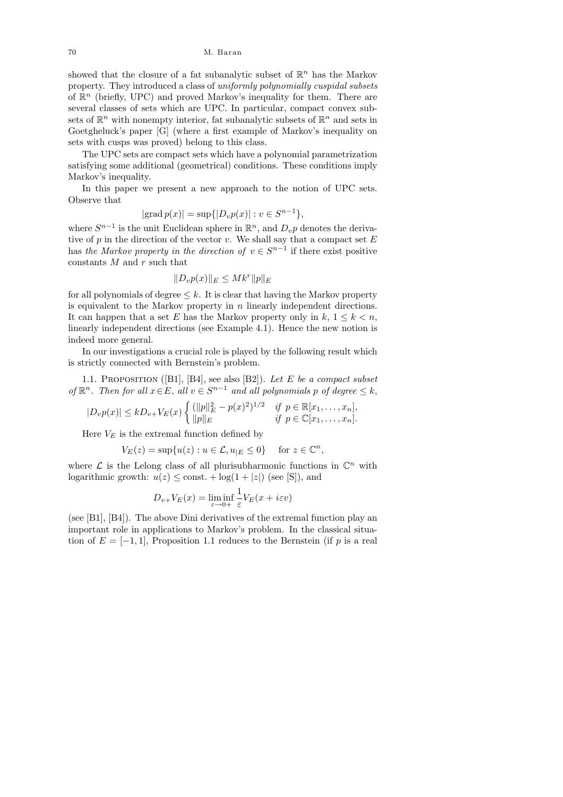70 M. Baran

showed that the closure of a fat subanalytic subset of  $\mathbb{R}^n$  has the Markov property. They introduced a class of uniformly polynomially cuspidal subsets of  $\mathbb{R}^n$  (briefly, UPC) and proved Markov's inequality for them. There are several classes of sets which are UPC. In particular, compact convex subsets of  $\mathbb{R}^n$  with nonempty interior, fat subanalytic subsets of  $\mathbb{R}^n$  and sets in Goetgheluck's paper [G] (where a first example of Markov's inequality on sets with cusps was proved) belong to this class.

The UPC sets are compact sets which have a polynomial parametrization satisfying some additional (geometrical) conditions. These conditions imply Markov's inequality.

In this paper we present a new approach to the notion of UPC sets. Observe that

$$
|\text{grad } p(x)| = \sup\{|D_v p(x)| : v \in S^{n-1}\},\
$$

where  $S^{n-1}$  is the unit Euclidean sphere in  $\mathbb{R}^n$ , and  $D_v p$  denotes the derivative of  $p$  in the direction of the vector  $v$ . We shall say that a compact set  $E$ has the Markov property in the direction of  $v \in S^{n-1}$  if there exist positive constants  $M$  and  $r$  such that

$$
||D_v p(x)||_E \leq Mk^r ||p||_E
$$

for all polynomials of degree  $\leq k$ . It is clear that having the Markov property is equivalent to the Markov property in  $n$  linearly independent directions. It can happen that a set E has the Markov property only in  $k, 1 \leq k < n$ , linearly independent directions (see Example 4.1). Hence the new notion is indeed more general.

In our investigations a crucial role is played by the following result which is strictly connected with Bernstein's problem.

1.1. PROPOSITION ([B1], [B4], see also [B2]). Let E be a compact subset of  $\mathbb{R}^n$ . Then for all  $x \in E$ , all  $v \in S^{n-1}$  and all polynomials p of degree  $\leq k$ ,

$$
|D_v p(x)| \leq k D_{v+} V_E(x) \begin{cases} (||p||_E^2 - p(x)^2)^{1/2} & \text{if } p \in \mathbb{R}[x_1, \dots, x_n], \\ ||p||_E & \text{if } p \in \mathbb{C}[x_1, \dots, x_n]. \end{cases}
$$

Here  $V_E$  is the extremal function defined by

$$
V_E(z) = \sup \{ u(z) : u \in \mathcal{L}, u_{|E} \le 0 \} \quad \text{ for } z \in \mathbb{C}^n,
$$

where  $\mathcal L$  is the Lelong class of all plurisubharmonic functions in  $\mathbb C^n$  with logarithmic growth:  $u(z) \leq$  const.  $+ \log(1+|z|)$  (see [S]), and

$$
D_{v+}V_E(x) = \liminf_{\varepsilon \to 0+} \frac{1}{\varepsilon}V_E(x + i\varepsilon v)
$$

(see [B1], [B4]). The above Dini derivatives of the extremal function play an important role in applications to Markov's problem. In the classical situation of  $E = [-1, 1]$ , Proposition 1.1 reduces to the Bernstein (if p is a real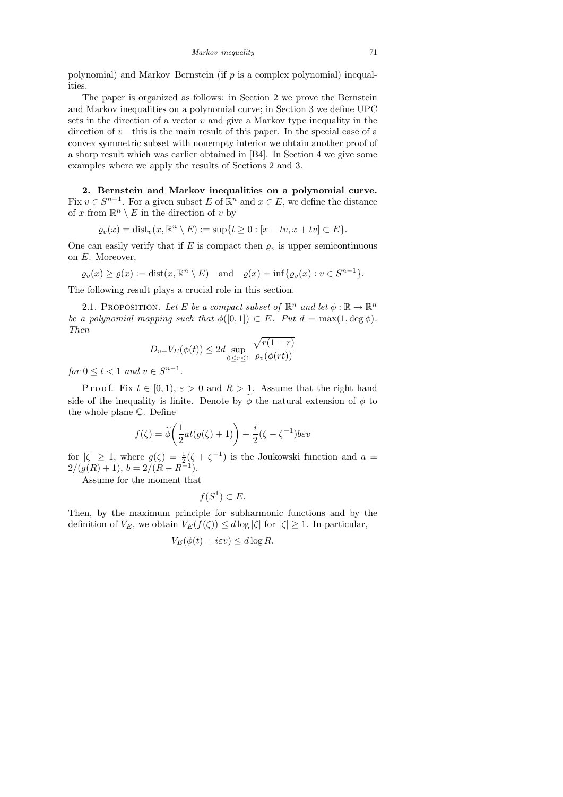polynomial) and Markov–Bernstein (if  $p$  is a complex polynomial) inequalities.

The paper is organized as follows: in Section 2 we prove the Bernstein and Markov inequalities on a polynomial curve; in Section 3 we define UPC sets in the direction of a vector  $v$  and give a Markov type inequality in the direction of  $v$ —this is the main result of this paper. In the special case of a convex symmetric subset with nonempty interior we obtain another proof of a sharp result which was earlier obtained in [B4]. In Section 4 we give some examples where we apply the results of Sections 2 and 3.

2. Bernstein and Markov inequalities on a polynomial curve. Fix  $v \in S^{n-1}$ . For a given subset E of  $\mathbb{R}^n$  and  $x \in E$ , we define the distance of x from  $\mathbb{R}^n \setminus E$  in the direction of v by

$$
\varrho_v(x) = \text{dist}_v(x, \mathbb{R}^n \setminus E) := \sup\{t \ge 0 : [x - tv, x + tv] \subset E\}.
$$

One can easily verify that if E is compact then  $\varrho_v$  is upper semicontinuous on E. Moreover,

$$
\varrho_v(x) \ge \varrho(x) := \text{dist}(x, \mathbb{R}^n \setminus E) \quad \text{and} \quad \varrho(x) = \inf \{ \varrho_v(x) : v \in S^{n-1} \}.
$$

The following result plays a crucial role in this section.

2.1. PROPOSITION. Let E be a compact subset of  $\mathbb{R}^n$  and let  $\phi : \mathbb{R} \to \mathbb{R}^n$ be a polynomial mapping such that  $\phi([0,1]) \subset E$ . Put  $d = \max(1, \deg \phi)$ . Then

$$
D_{v+}V_E(\phi(t)) \le 2d \sup_{0 \le r \le 1} \frac{\sqrt{r(1-r)}}{\varrho_v(\phi(rt))}
$$

for  $0 \leq t < 1$  and  $v \in S^{n-1}$ .

P r o o f. Fix  $t \in [0,1)$ ,  $\varepsilon > 0$  and  $R > 1$ . Assume that the right hand side of the inequality is finite. Denote by  $\widetilde{\phi}$  the natural extension of  $\phi$  to the whole plane C. Define

$$
f(\zeta) = \tilde{\phi}\left(\frac{1}{2}at(g(\zeta) + 1)\right) + \frac{i}{2}(\zeta - \zeta^{-1})b\varepsilon v
$$

for  $|\zeta| \geq 1$ , where  $g(\zeta) = \frac{1}{2}(\zeta + \zeta^{-1})$  is the Joukowski function and  $a =$  $2/(g(R) + 1), b = 2/(R - R^{-1}).$ 

Assume for the moment that

$$
f(S^1) \subset E.
$$

Then, by the maximum principle for subharmonic functions and by the definition of  $V_E$ , we obtain  $V_E(f(\zeta)) \leq d \log |\zeta|$  for  $|\zeta| \geq 1$ . In particular,

$$
V_E(\phi(t) + i\varepsilon v) \le d \log R.
$$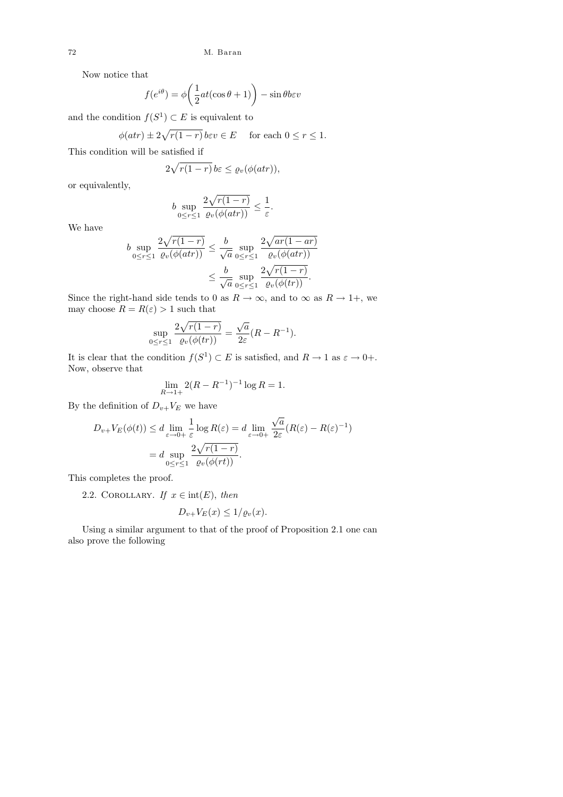Now notice that

$$
f(e^{i\theta}) = \phi\left(\frac{1}{2}at(\cos\theta + 1)\right) - \sin\theta b \varepsilon v
$$

and the condition  $f(S^1) \subset E$  is equivalent to

$$
\phi(atr) \pm 2\sqrt{r(1-r)} \, be \, v \in E \quad \text{ for each } 0 \le r \le 1.
$$

This condition will be satisfied if

$$
2\sqrt{r(1-r)}\,b\epsilon\leq \varrho_v(\phi(a tr)),
$$

or equivalently,

$$
b \sup_{0 \le r \le 1} \frac{2\sqrt{r(1-r)}}{\varrho_v(\phi(atr))} \le \frac{1}{\varepsilon}.
$$

We have

$$
b \sup_{0 \le r \le 1} \frac{2\sqrt{r(1-r)}}{\varrho_v(\phi(atr))} \le \frac{b}{\sqrt{a}} \sup_{0 \le r \le 1} \frac{2\sqrt{ar(1-ar)}}{\varrho_v(\phi(atr))} \le \frac{b}{\sqrt{a}} \sup_{0 \le r \le 1} \frac{2\sqrt{r(1-r)}}{\varrho_v(\phi(tr))}.
$$

Since the right-hand side tends to 0 as  $R \to \infty$ , and to  $\infty$  as  $R \to 1+$ , we may choose  $R = R(\varepsilon) > 1$  such that

$$
\sup_{0 \le r \le 1} \frac{2\sqrt{r(1-r)}}{\varrho_v(\phi(tr))} = \frac{\sqrt{a}}{2\varepsilon} (R - R^{-1}).
$$

It is clear that the condition  $f(S^1) \subset E$  is satisfied, and  $R \to 1$  as  $\varepsilon \to 0+$ . Now, observe that

$$
\lim_{R \to 1+} 2(R - R^{-1})^{-1} \log R = 1.
$$

By the definition of  $D_{v+}V_E$  we have

$$
D_{v+}V_E(\phi(t)) \le d \lim_{\varepsilon \to 0+} \frac{1}{\varepsilon} \log R(\varepsilon) = d \lim_{\varepsilon \to 0+} \frac{\sqrt{a}}{2\varepsilon} (R(\varepsilon) - R(\varepsilon)^{-1})
$$
  
=  $d \sup_{0 \le r \le 1} \frac{2\sqrt{r(1-r)}}{\varrho_v(\phi(rt))}$ .

This completes the proof.

2.2. COROLLARY. If  $x \in \text{int}(E)$ , then

$$
D_{v+}V_E(x) \le 1/\varrho_v(x).
$$

Using a similar argument to that of the proof of Proposition 2.1 one can also prove the following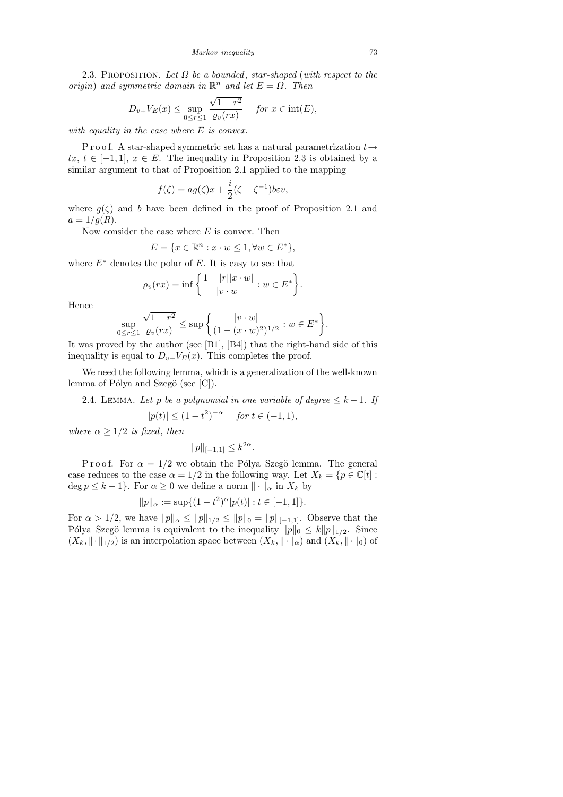*Markov inequality* 73

2.3. PROPOSITION. Let  $\Omega$  be a bounded, star-shaped (with respect to the origin) and symmetric domain in  $\mathbb{R}^n$  and let  $E = \overline{\Omega}$ . Then

$$
D_{v+}V_E(x) \le \sup_{0 \le r \le 1} \frac{\sqrt{1-r^2}}{\varrho_v(rx)} \quad \text{for } x \in \text{int}(E),
$$

with equality in the case where E is convex.

P r o o f. A star-shaped symmetric set has a natural parametrization  $t \rightarrow$ tx,  $t \in [-1, 1]$ ,  $x \in E$ . The inequality in Proposition 2.3 is obtained by a similar argument to that of Proposition 2.1 applied to the mapping

$$
f(\zeta) = ag(\zeta)x + \frac{i}{2}(\zeta - \zeta^{-1})b\varepsilon v,
$$

where  $g(\zeta)$  and b have been defined in the proof of Proposition 2.1 and  $a = 1/q(R)$ .

Now consider the case where  $E$  is convex. Then

$$
E = \{ x \in \mathbb{R}^n : x \cdot w \le 1, \forall w \in E^* \},
$$

where  $E^*$  denotes the polar of E. It is easy to see that

$$
\varrho_v(rx) = \inf \left\{ \frac{1 - |r||x \cdot w|}{|v \cdot w|} : w \in E^* \right\}.
$$

Hence

$$
\sup_{r \leq r \leq 1} \frac{\sqrt{1 - r^2}}{e^v(r)} \leq \sup \left\{ \frac{|v \cdot w|}{(1 - (x \cdot w)^2)^{1/2}} : w \in E^* \right\}.
$$

It was proved by the author (see [B1], [B4]) that the right-hand side of this inequality is equal to  $D_{v+}V_E(x)$ . This completes the proof.

We need the following lemma, which is a generalization of the well-known lemma of Pólya and Szegö (see  $[C]$ ).

2.4. LEMMA. Let p be a polynomial in one variable of degree  $\leq k-1$ . If

$$
|p(t)| \le (1 - t^2)^{-\alpha} \quad \text{for } t \in (-1, 1),
$$

where  $\alpha \geq 1/2$  is fixed, then

 $\overline{0}$ 

$$
||p||_{[-1,1]} \le k^{2\alpha}.
$$

P r o o f. For  $\alpha = 1/2$  we obtain the Pólya–Szegö lemma. The general case reduces to the case  $\alpha = 1/2$  in the following way. Let  $X_k = \{p \in \mathbb{C}[t]:$  $\deg p \leq k-1$ . For  $\alpha \geq 0$  we define a norm  $\|\cdot\|_{\alpha}$  in  $X_k$  by

$$
||p||_{\alpha} := \sup\{(1-t^2)^{\alpha}|p(t)| : t \in [-1,1]\}.
$$

For  $\alpha > 1/2$ , we have  $||p||_{\alpha} \le ||p||_{1/2} \le ||p||_0 = ||p||_{[-1,1]}$ . Observe that the Pólya–Szegö lemma is equivalent to the inequality  $||p||_0 \le k||p||_{1/2}$ . Since  $(X_k, \|\cdot\|_{1/2})$  is an interpolation space between  $(X_k, \|\cdot\|_{\alpha})$  and  $(X_k, \|\cdot\|_{0})$  of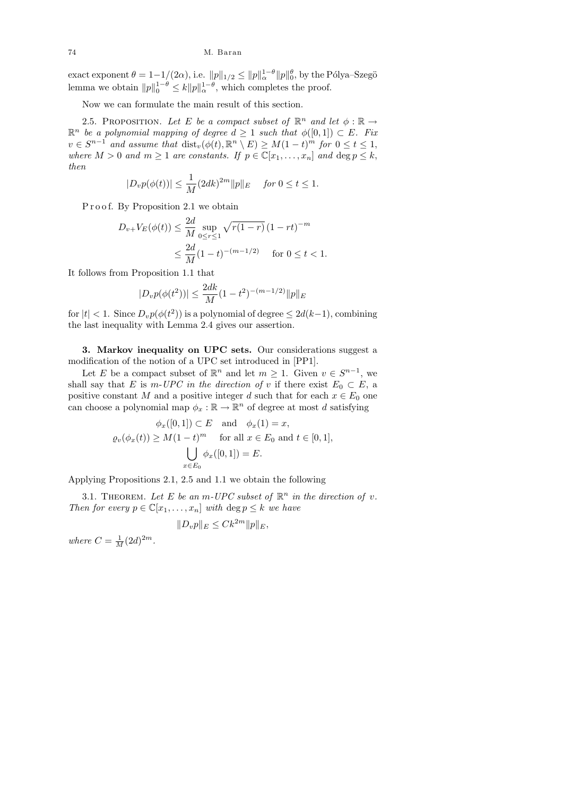exact exponent  $\theta = 1 - 1/(2\alpha)$ , i.e.  $||p||_{1/2} \le ||p||_{\alpha}^{1-\theta} ||p||_{0}^{\theta}$ , by the Pólya–Szegö lemma we obtain  $||p||_0^{1-\theta} \le k||p||_{\alpha}^{1-\theta}$ , which completes the proof.

Now we can formulate the main result of this section.

2.5. PROPOSITION. Let E be a compact subset of  $\mathbb{R}^n$  and let  $\phi : \mathbb{R} \to$  $\mathbb{R}^n$  be a polynomial mapping of degree  $d \geq 1$  such that  $\phi([0,1]) \subset E$ . Fix  $v \in S^{n-1}$  and assume that  $\text{dist}_v(\phi(t), \mathbb{R}^n \setminus E) \geq M(1-t)^m$  for  $0 \leq t \leq 1$ , where  $M > 0$  and  $m \ge 1$  are constants. If  $p \in \mathbb{C}[x_1, \ldots, x_n]$  and  $\deg p \le k$ , then

$$
|D_v p(\phi(t))| \le \frac{1}{M} (2dk)^{2m} ||p||_E \quad \text{ for } 0 \le t \le 1.
$$

Proof. By Proposition 2.1 we obtain

$$
D_{v+}V_E(\phi(t)) \le \frac{2d}{M} \sup_{0 \le r \le 1} \sqrt{r(1-r)} (1 - rt)^{-m}
$$
  

$$
\le \frac{2d}{M} (1 - t)^{-(m-1/2)} \quad \text{for } 0 \le t < 1.
$$

It follows from Proposition 1.1 that

$$
|D_v p(\phi(t^2))| \le \frac{2dk}{M} (1 - t^2)^{-(m-1/2)} \|p\|_E
$$

for  $|t| < 1$ . Since  $D_v p(\phi(t^2))$  is a polynomial of degree  $\leq 2d(k-1)$ , combining the last inequality with Lemma 2.4 gives our assertion.

3. Markov inequality on UPC sets. Our considerations suggest a modification of the notion of a UPC set introduced in [PP1].

Let E be a compact subset of  $\mathbb{R}^n$  and let  $m \geq 1$ . Given  $v \in S^{n-1}$ , we shall say that E is m-UPC in the direction of v if there exist  $E_0 \subset E$ , a positive constant M and a positive integer d such that for each  $x \in E_0$  one can choose a polynomial map  $\phi_x : \mathbb{R} \to \mathbb{R}^n$  of degree at most d satisfying

$$
\phi_x([0,1]) \subset E \quad \text{and} \quad \phi_x(1) = x,
$$
  

$$
\varrho_v(\phi_x(t)) \ge M(1-t)^m \quad \text{for all } x \in E_0 \text{ and } t \in [0,1],
$$
  

$$
\bigcup_{x \in E_0} \phi_x([0,1]) = E.
$$

Applying Propositions 2.1, 2.5 and 1.1 we obtain the following

3.1. THEOREM. Let E be an m-UPC subset of  $\mathbb{R}^n$  in the direction of v. Then for every  $p \in \mathbb{C}[x_1,\ldots,x_n]$  with  $\deg p \leq k$  we have

$$
||D_v p||_E \leq C k^{2m} ||p||_E,
$$

where  $C = \frac{1}{M} (2d)^{2m}$ .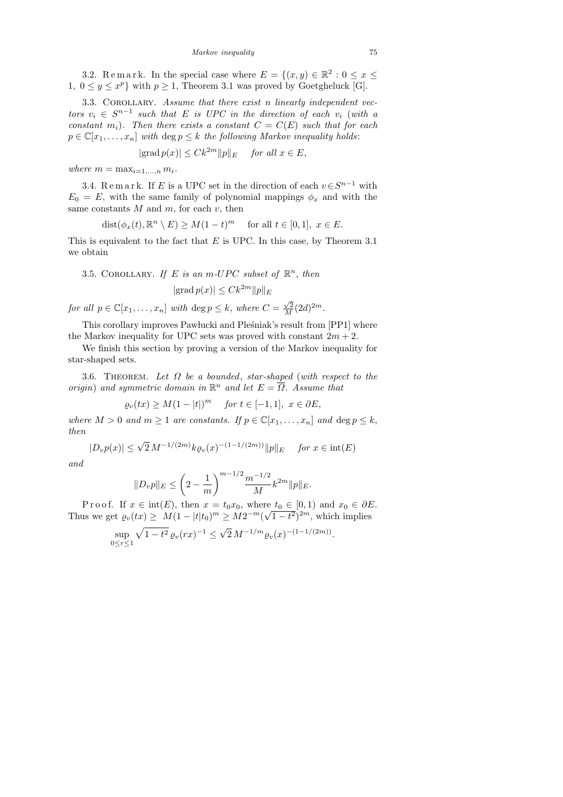3.2. Remark. In the special case where  $E = \{(x, y) \in \mathbb{R}^2 : 0 \le x \le$ 1,  $0 \le y \le x^p$  with  $p \ge 1$ , Theorem 3.1 was proved by Goetgheluck [G].

3.3. COROLLARY. Assume that there exist n linearly independent vectors  $v_i \in S^{n-1}$  such that E is UPC in the direction of each  $v_i$  (with a constant  $m_i$ ). Then there exists a constant  $C = C(E)$  such that for each  $p \in \mathbb{C}[x_1,\ldots,x_n]$  with  $\deg p \leq k$  the following Markov inequality holds:

$$
|\text{grad } p(x)| \leq C k^{2m} ||p||_E \quad \text{ for all } x \in E,
$$

where  $m = \max_{i=1,\dots,n} m_i$ .

3.4. Remark. If E is a UPC set in the direction of each  $v \in S^{n-1}$  with  $E_0 = E$ , with the same family of polynomial mappings  $\phi_x$  and with the same constants  $M$  and  $m$ , for each  $v$ , then

$$
dist(\phi_x(t), \mathbb{R}^n \setminus E) \ge M(1-t)^m \quad \text{ for all } t \in [0,1], \ x \in E.
$$

This is equivalent to the fact that  $E$  is UPC. In this case, by Theorem 3.1 we obtain

3.5. COROLLARY. If E is an m-UPC subset of  $\mathbb{R}^n$ , then

$$
|\text{grad } p(x)| \leq C k^{2m} ||p||_E
$$

for all  $p \in \mathbb{C}[x_1,\ldots,x_n]$  with  $\deg p \leq k$ , where  $C = \frac{\sqrt{2}}{M}(2d)^{2m}$ .

This corollary improves Pawlucki and Pleśniak's result from [PP1] where the Markov inequality for UPC sets was proved with constant  $2m + 2$ .

We finish this section by proving a version of the Markov inequality for star-shaped sets.

3.6. THEOREM. Let  $\Omega$  be a bounded, star-shaped (with respect to the origin) and symmetric domain in  $\mathbb{R}^n$  and let  $E = \overline{\Omega}$ . Assume that

$$
\varrho_v(tx) \ge M(1-|t|)^m \quad \text{for } t \in [-1,1], \ x \in \partial E,
$$

where  $M > 0$  and  $m \ge 1$  are constants. If  $p \in \mathbb{C}[x_1, \ldots, x_n]$  and  $\deg p \le k$ , then

$$
|D_v p(x)| \le \sqrt{2} M^{-1/(2m)} k \varrho_v(x)^{-(1-1/(2m))} ||p||_E \quad \text{for } x \in \text{int}(E)
$$

and

$$
||D_v p||_E \le \left(2 - \frac{1}{m}\right)^{m-1/2} \frac{m^{-1/2}}{M} k^{2m} ||p||_E.
$$

P r o o f. If  $x \in \text{int}(E)$ , then  $x = t_0 x_0$ , where  $t_0 \in [0, 1)$  and  $x_0 \in \partial E$ . Thus we get  $\rho_v(tx) \geq M(1-|t|t_0)^m \geq M2^{-m}(\sqrt{1-t^2})^{2m}$ , which implies

$$
\sup_{0 \le r \le 1} \sqrt{1 - t^2} \, \varrho_v(rx)^{-1} \le \sqrt{2} \, M^{-1/m} \varrho_v(x)^{-(1 - 1/(2m))}.
$$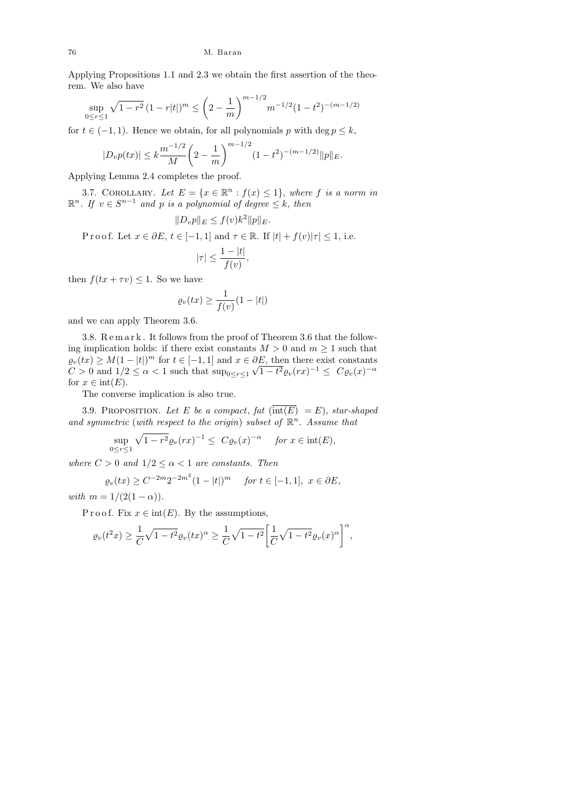Applying Propositions 1.1 and 2.3 we obtain the first assertion of the theorem. We also have

$$
\sup_{0 \le r \le 1} \sqrt{1 - r^2} \left(1 - r|t|\right)^m \le \left(2 - \frac{1}{m}\right)^{m - 1/2} m^{-1/2} (1 - t^2)^{-(m - 1/2)}
$$

for  $t \in (-1, 1)$ . Hence we obtain, for all polynomials p with deg  $p \leq k$ ,

$$
|D_v p(tx)| \le k \frac{m^{-1/2}}{M} \left(2 - \frac{1}{m}\right)^{m-1/2} (1 - t^2)^{-(m-1/2)} ||p||_E.
$$

Applying Lemma 2.4 completes the proof.

3.7. COROLLARY. Let  $E = \{x \in \mathbb{R}^n : f(x) \leq 1\}$ , where f is a norm in  $\mathbb{R}^n$ . If  $v \in S^{n-1}$  and p is a polynomial of degree  $\leq k$ , then

$$
||D_v p||_E \le f(v)k^2 ||p||_E.
$$

P r o o f. Let  $x \in \partial E$ ,  $t \in [-1, 1]$  and  $\tau \in \mathbb{R}$ . If  $|t| + f(v)|\tau| \leq 1$ , i.e.

$$
|\tau| \le \frac{1-|t|}{f(v)},
$$

then  $f(tx + \tau v) \leq 1$ . So we have

$$
\varrho_v(tx) \ge \frac{1}{f(v)}(1-|t|)
$$

and we can apply Theorem 3.6.

3.8. R e m a r k . It follows from the proof of Theorem 3.6 that the following implication holds: if there exist constants  $M > 0$  and  $m \ge 1$  such that  $\varrho_v(tx) \geq M(1-|t|)^m$  for  $t \in [-1,1]$  and  $x \in \partial E$ , then there exist constants  $C > 0$  and  $1/2 \leq \alpha < 1$  such that  $\sup_{0 \leq r \leq 1} \sqrt{1 - t^2} \varrho_v(rx)^{-1} \leq C \varrho_v(x)^{-\alpha}$ for  $x \in \text{int}(E)$ .

The converse implication is also true.

3.9. PROPOSITION. Let E be a compact, fat  $(\overline{\text{int}(E)} = E)$ , star-shaped and symmetric (with respect to the origin) subset of  $\mathbb{R}^n$ . Assume that

$$
\sup_{0 \le r \le 1} \sqrt{1 - r^2} \varrho_v(rx)^{-1} \le C \varrho_v(x)^{-\alpha} \quad \text{for } x \in \text{int}(E),
$$

where  $C > 0$  and  $1/2 \leq \alpha < 1$  are constants. Then

$$
\varrho_v(tx) \ge C^{-2m} 2^{-2m^2} (1-|t|)^m \quad \text{for } t \in [-1,1], \ x \in \partial E,
$$

with  $m = 1/(2(1 - \alpha)).$ 

P r o o f. Fix  $x \in \text{int}(E)$ . By the assumptions,

$$
\varrho_v(t^2x) \ge \frac{1}{C}\sqrt{1-t^2}\varrho_v(tx)^\alpha \ge \frac{1}{C}\sqrt{1-t^2}\bigg[\frac{1}{C}\sqrt{1-t^2}\varrho_v(x)^\alpha\bigg]^\alpha,
$$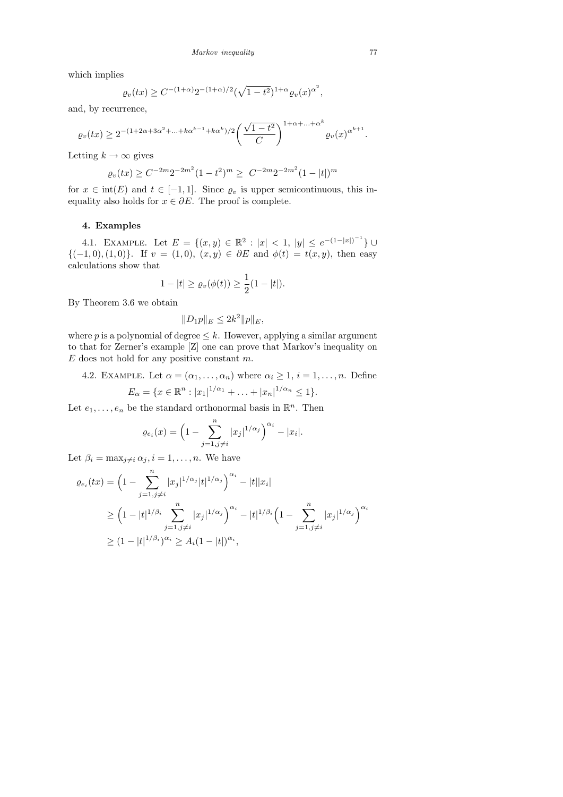which implies

$$
\varrho_v(tx) \ge C^{-(1+\alpha)} 2^{-(1+\alpha)/2} (\sqrt{1-t^2})^{1+\alpha} \varrho_v(x)^{\alpha^2},
$$

and, by recurrence,

$$
\varrho_v(tx) \ge 2^{-(1+2\alpha+3\alpha^2+\ldots+k\alpha^{k-1}+k\alpha^k)/2} \bigg(\frac{\sqrt{1-t^2}}{C}\bigg)^{1+\alpha+\ldots+\alpha^k} \varrho_v(x)^{\alpha^{k+1}}.
$$

Letting  $k \to \infty$  gives

$$
\varrho_v(tx) \ge C^{-2m} 2^{-2m^2} (1-t^2)^m \ge C^{-2m} 2^{-2m^2} (1-|t|)^m
$$

for  $x \in \text{int}(E)$  and  $t \in [-1, 1]$ . Since  $\varrho_v$  is upper semicontinuous, this inequality also holds for  $x \in \partial E$ . The proof is complete.

## 4. Examples

4.1. EXAMPLE. Let  $E = \{(x, y) \in \mathbb{R}^2 : |x| < 1, |y| \le e^{-(1-|x|)^{-1}}\}$  ${(-1,0),(1,0)}$ . If  $v = (1,0),(x,y) \in \partial E$  and  $\phi(t) = t(x,y)$ , then easy calculations show that

$$
1-|t| \ge \varrho_v(\phi(t)) \ge \frac{1}{2}(1-|t|).
$$

By Theorem 3.6 we obtain

$$
||D_1p||_E \le 2k^2 ||p||_E,
$$

where p is a polynomial of degree  $\leq k$ . However, applying a similar argument to that for Zerner's example [Z] one can prove that Markov's inequality on  $E$  does not hold for any positive constant  $m$ .

4.2. EXAMPLE. Let  $\alpha = (\alpha_1, \ldots, \alpha_n)$  where  $\alpha_i \geq 1$ ,  $i = 1, \ldots, n$ . Define  $E_{\alpha} = \{x \in \mathbb{R}^n : |x_1|^{1/\alpha_1} + \ldots + |x_n|^{1/\alpha_n} \leq 1\}.$ 

Let  $e_1, \ldots, e_n$  be the standard orthonormal basis in  $\mathbb{R}^n$ . Then

$$
\varrho_{e_i}(x) = \left(1 - \sum_{j=1, j \neq i}^n |x_j|^{1/\alpha_j}\right)^{\alpha_i} - |x_i|.
$$

Let  $\beta_i = \max_{j \neq i} \alpha_j, i = 1, \ldots, n$ . We have

$$
\varrho_{e_i}(tx) = \left(1 - \sum_{j=1, j \neq i}^n |x_j|^{1/\alpha_j} |t|^{1/\alpha_j}\right)^{\alpha_i} - |t||x_i|
$$
  
\n
$$
\geq \left(1 - |t|^{1/\beta_i} \sum_{j=1, j \neq i}^n |x_j|^{1/\alpha_j}\right)^{\alpha_i} - |t|^{1/\beta_i} \left(1 - \sum_{j=1, j \neq i}^n |x_j|^{1/\alpha_j}\right)^{\alpha_i}
$$
  
\n
$$
\geq (1 - |t|^{1/\beta_i})^{\alpha_i} \geq A_i (1 - |t|)^{\alpha_i},
$$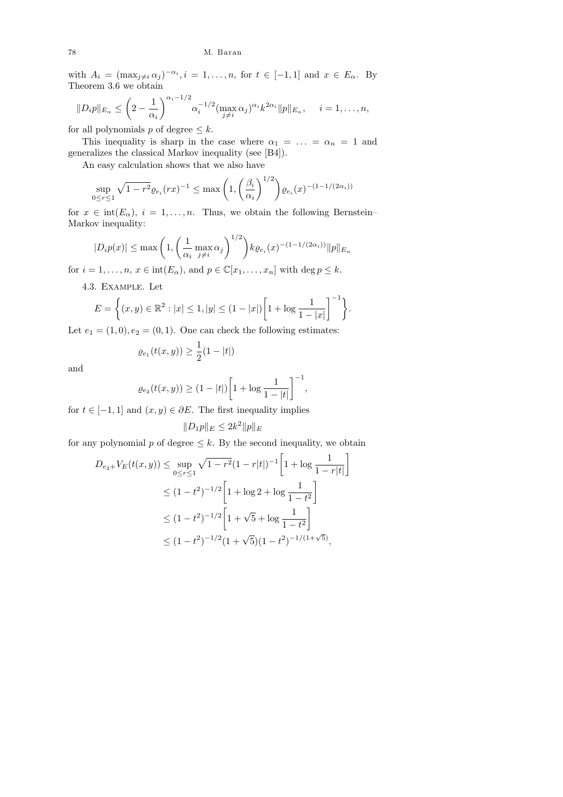## 78 M. Baran

with  $A_i = (\max_{j \neq i} \alpha_j)^{-\alpha_i}, i = 1, \ldots, n$ , for  $t \in [-1, 1]$  and  $x \in E_\alpha$ . By Theorem 3.6 we obtain

$$
||D_i p||_{E_{\alpha}} \leq \left(2 - \frac{1}{\alpha_i}\right)^{\alpha_i - 1/2} \alpha_i^{-1/2} (\max_{j \neq i} \alpha_j)^{\alpha_i} k^{2\alpha_i} ||p||_{E_{\alpha}}, \quad i = 1, \dots, n,
$$

for all polynomials p of degree  $\leq k$ .

This inequality is sharp in the case where  $\alpha_1 = \ldots = \alpha_n = 1$  and generalizes the classical Markov inequality (see [B4]).

An easy calculation shows that we also have

$$
\sup_{0 \le r \le 1} \sqrt{1 - r^2} \varrho_{e_i}(rx)^{-1} \le \max\left(1, \left(\frac{\beta_i}{\alpha_i}\right)^{1/2}\right) \varrho_{e_i}(x)^{-(1 - 1/(2\alpha_i))}
$$

for  $x \in \text{int}(E_\alpha)$ ,  $i = 1, \ldots, n$ . Thus, we obtain the following Bernstein– Markov inequality:

$$
|D_i p(x)| \le \max\left(1, \left(\frac{1}{\alpha_i} \max_{j \neq i} \alpha_j\right)^{1/2}\right) k \varrho_{e_i}(x)^{-(1-1/(2\alpha_i))} ||p||_{E_\alpha}
$$

for  $i = 1, \ldots, n, x \in \text{int}(E_{\alpha})$ , and  $p \in \mathbb{C}[x_1, \ldots, x_n]$  with  $\deg p \leq k$ .

4.3. Example. Let

$$
E = \left\{ (x, y) \in \mathbb{R}^2 : |x| \le 1, |y| \le (1 - |x|) \left[ 1 + \log \frac{1}{1 - |x|} \right]^{-1} \right\}.
$$

Let  $e_1 = (1, 0), e_2 = (0, 1)$ . One can check the following estimates:

$$
\varrho_{e_1}(t(x,y)) \ge \frac{1}{2}(1-|t|)
$$

and

$$
\varrho_{e_2}(t(x,y)) \ge (1-|t|) \left[1 + \log \frac{1}{1-|t|}\right]^{-1},
$$

for  $t \in [-1, 1]$  and  $(x, y) \in \partial E$ . The first inequality implies

$$
||D_1p||_E \le 2k^2 ||p||_E
$$

for any polynomial p of degree  $\leq k$ . By the second inequality, we obtain

$$
D_{e_2+}V_E(t(x,y)) \le \sup_{0 \le r \le 1} \sqrt{1 - r^2} (1 - r|t|)^{-1} \left[ 1 + \log \frac{1}{1 - r|t|} \right]
$$
  

$$
\le (1 - t^2)^{-1/2} \left[ 1 + \log 2 + \log \frac{1}{1 - t^2} \right]
$$
  

$$
\le (1 - t^2)^{-1/2} \left[ 1 + \sqrt{5} + \log \frac{1}{1 - t^2} \right]
$$
  

$$
\le (1 - t^2)^{-1/2} (1 + \sqrt{5})(1 - t^2)^{-1/(1 + \sqrt{5})},
$$